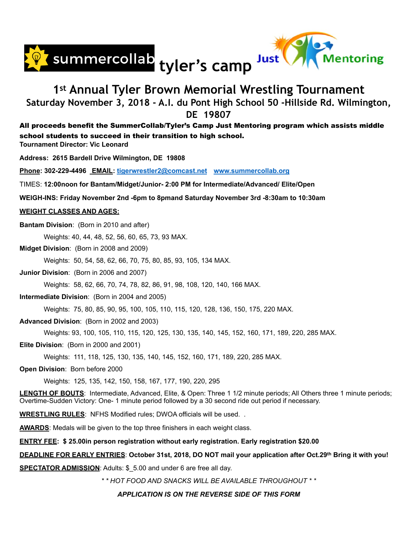



## **1st Annual Tyler Brown Memorial Wrestling Tournament Saturday November 3, 2018 - A.I. du Pont High School 50 -Hillside Rd. Wilmington, DE 19807**

### All proceeds benefit the SummerCollab/Tyler's Camp Just Mentoring program which assists middle school students to succeed in their transition to high school.

**Tournament Director: Vic Leonard** 

**Address: 2615 Bardell Drive Wilmington, DE 19808** 

**Phone: 302-229-4496 EMAIL: [tigerwrestler2@comcast.net](mailto:tigerwrestler2@comcast.net) [www.summercollab.org](http://www.summercollab.org)** 

TIMES: **12:00noon for Bantam/Midget/Junior- 2:00 PM for Intermediate/Advanced/ Elite/Open**

**WEIGH-INS: Friday November 2nd -6pm to 8pmand Saturday November 3rd -8:30am to 10:30am** 

#### **WEIGHT CLASSES AND AGES:**

**Bantam Division**: (Born in 2010 and after)

Weights: 40, 44, 48, 52, 56, 60, 65, 73, 93 MAX.

**Midget Division**: (Born in 2008 and 2009)

Weights: 50, 54, 58, 62, 66, 70, 75, 80, 85, 93, 105, 134 MAX.

**Junior Division**: (Born in 2006 and 2007)

Weights: 58, 62, 66, 70, 74, 78, 82, 86, 91, 98, 108, 120, 140, 166 MAX.

**Intermediate Division**: (Born in 2004 and 2005)

Weights: 75, 80, 85, 90, 95, 100, 105, 110, 115, 120, 128, 136, 150, 175, 220 MAX.

#### **Advanced Division**: (Born in 2002 and 2003)

Weights: 93, 100, 105, 110, 115, 120, 125, 130, 135, 140, 145, 152, 160, 171, 189, 220, 285 MAX.

#### **Elite Division**: (Born in 2000 and 2001)

Weights: 111, 118, 125, 130, 135, 140, 145, 152, 160, 171, 189, 220, 285 MAX.

#### **Open Division**: Born before 2000

Weights: 125, 135, 142, 150, 158, 167, 177, 190, 220, 295

**LENGTH OF BOUTS**: Intermediate, Advanced, Elite, & Open: Three 1 1/2 minute periods; All Others three 1 minute periods; Overtime-Sudden Victory: One- 1 minute period followed by a 30 second ride out period if necessary.

**WRESTLING RULES**: NFHS Modified rules; DWOA officials will be used. .

**AWARDS**: Medals will be given to the top three finishers in each weight class.

**ENTRY FEE: \$ 25.00in person registration without early registration. Early registration \$20.00**

#### **DEADLINE FOR EARLY ENTRIES**: **October 31st, 2018, DO NOT mail your application after Oct.29th Bring it with you!**

**SPECTATOR ADMISSION**: Adults: \$\_5.00 and under 6 are free all day.

*\* \* HOT FOOD AND SNACKS WILL BE AVAILABLE THROUGHOUT \* \** 

#### *APPLICATION IS ON THE REVERSE SIDE OF THIS FORM*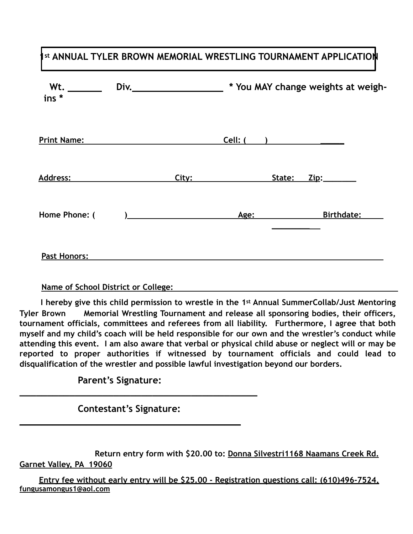## **Ist ANNUAL TYLER BROWN MEMORIAL WRESTLING TOURNAMENT APPLICATION**

| * You MAY change weights at weigh- |
|------------------------------------|
|                                    |
| State: Zip:________                |
| <b>Birthdate:</b>                  |
|                                    |

### **Name of School District or College:**

 **I hereby give this child permission to wrestle in the 1st Annual SummerCollab/Just Mentoring Tyler Brown Memorial Wrestling Tournament and release all sponsoring bodies, their officers, tournament officials, committees and referees from all liability. Furthermore, I agree that both myself and my child's coach will be held responsible for our own and the wrestler's conduct while attending this event. I am also aware that verbal or physical child abuse or neglect will or may be reported to proper authorities if witnessed by tournament officials and could lead to disqualification of the wrestler and possible lawful investigation beyond our borders.** 

 **Parent's Signature:** 

 **Contestant's Signature: \_\_\_\_\_\_\_\_\_\_\_\_\_\_\_\_\_\_\_\_\_\_\_\_\_\_\_\_\_\_\_\_\_\_\_\_\_\_\_\_** 

**\_\_\_\_\_\_\_\_\_\_\_\_\_\_\_\_\_\_\_\_\_\_\_\_\_\_\_\_\_\_\_\_\_\_\_\_\_\_\_\_\_\_\_**

 **Return entry form with \$20.00 to: Donna Silvestri1168 Naamans Creek Rd. Garnet Valley, PA 19060** 

 **Entry fee without early entry will be \$25.00 - Registration questions call: (610)496-7524, fungusamongus1@aol.com**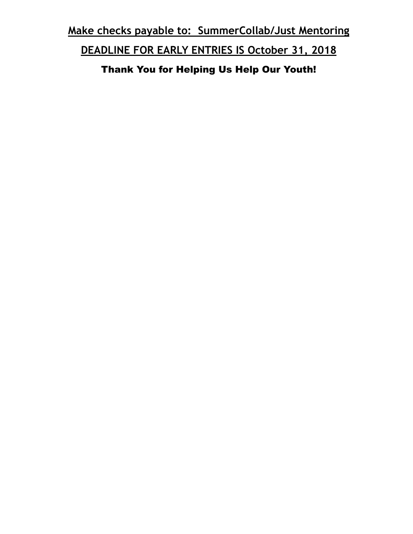**Make checks payable to: SummerCollab/Just Mentoring** 

**DEADLINE FOR EARLY ENTRIES IS October 31, 2018** 

Thank You for Helping Us Help Our Youth!